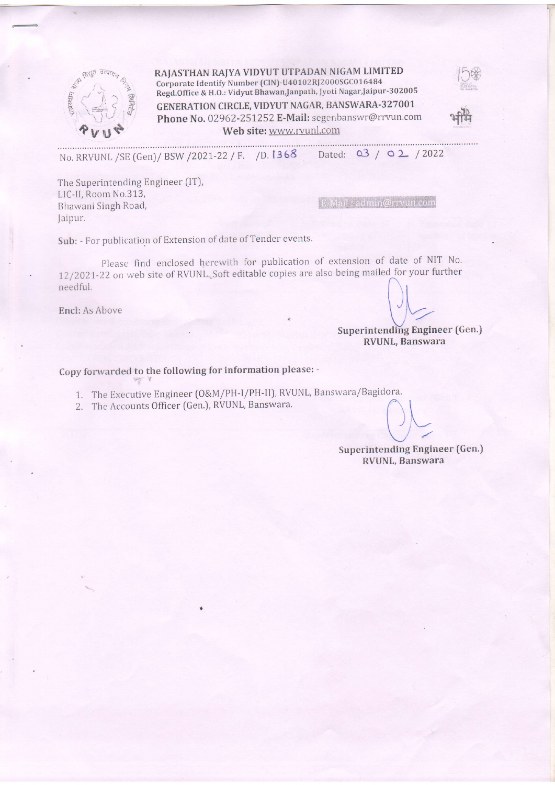

RAJASTHAN RAJYA VIDYUT UTPADAN NIGAM LIMITED Corporate Identify Number (CIN)-U40102RJ2000SGC016484 Regd.Office & H.O.: Vidyut Bhawan,Janpath, Jyoti Nagar,Jaipur-302005 GENERATION CIRCLE, VIDYUT NAGAR, BANSWARA-327001

Phone No. 02962-251252 E-Mail: segenbanswr@rrvun.com<br>Web site: www.rvunl.com



Web site: www.rvunl.com<br>No. RRVUNL /SE (Gen)/ BSW /2021-22 / F. /D. 1368 Dated: 03 / 02 / 2022

The Superintending Engineer (lT), LIC-ll, Room No.313, Bhawani Singh Road, Jaipur.

E-Mail: admin@rrvun.com

Sub: - For publication of Extension of date of Tender events.

please find enclosed herewith for publication of extension of date of NIT No. 12/2021-22 on web site of RVUNL. Soft editable copies are also being mailed for your further  $\bigcap_{n=1}^{\infty}$  for the site of information can also experience of  $\bigcap_{n=1}^{\infty}$ 

 $\begin{pmatrix} 1 \ \end{pmatrix}$ <br>Encl: As Above

, superintending Engineer (Gen.) RVUNL, Banswara

Copy forwarded to the following for information please: -

1. The Executive Engineer (O&M/PH-l/PH-ll), RVUNL, Banswara/Bagidora.

2. The Accounts Officer (Gen.), RVUNL, Banswara.

 $U\zeta$ 

Superintending Engineer (Gen.) RVUNL, Banswara